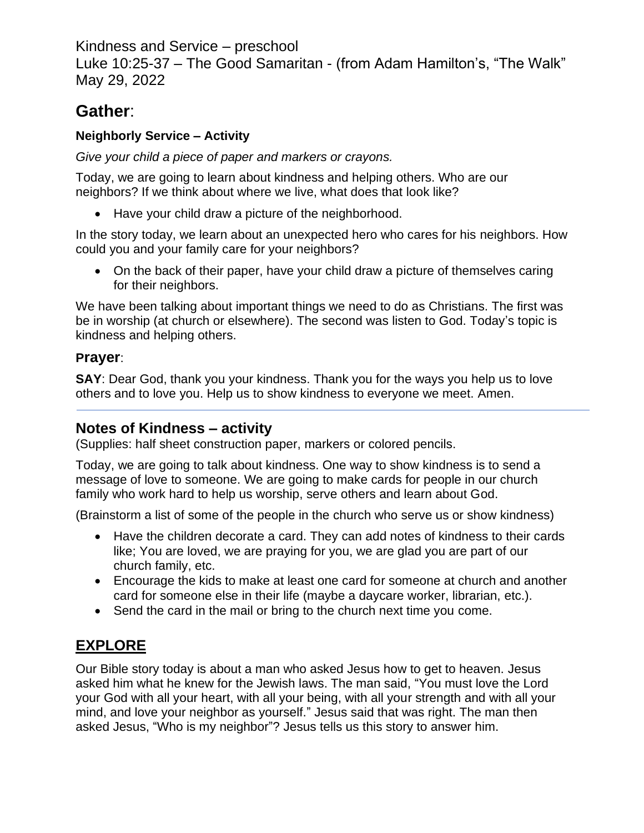Kindness and Service – preschool

Luke 10:25-37 – The Good Samaritan - (from Adam Hamilton's, "The Walk" May 29, 2022

# **Gather**:

### **Neighborly Service – Activity**

*Give your child a piece of paper and markers or crayons.*

Today, we are going to learn about kindness and helping others. Who are our neighbors? If we think about where we live, what does that look like?

• Have your child draw a picture of the neighborhood.

In the story today, we learn about an unexpected hero who cares for his neighbors. How could you and your family care for your neighbors?

• On the back of their paper, have your child draw a picture of themselves caring for their neighbors.

We have been talking about important things we need to do as Christians. The first was be in worship (at church or elsewhere). The second was listen to God. Today's topic is kindness and helping others.

#### **Prayer**:

**SAY**: Dear God, thank you your kindness. Thank you for the ways you help us to love others and to love you. Help us to show kindness to everyone we meet. Amen.

### **Notes of Kindness – activity**

(Supplies: half sheet construction paper, markers or colored pencils.

Today, we are going to talk about kindness. One way to show kindness is to send a message of love to someone. We are going to make cards for people in our church family who work hard to help us worship, serve others and learn about God.

(Brainstorm a list of some of the people in the church who serve us or show kindness)

- Have the children decorate a card. They can add notes of kindness to their cards like; You are loved, we are praying for you, we are glad you are part of our church family, etc.
- Encourage the kids to make at least one card for someone at church and another card for someone else in their life (maybe a daycare worker, librarian, etc.).
- Send the card in the mail or bring to the church next time you come.

## **EXPLORE**

Our Bible story today is about a man who asked Jesus how to get to heaven. Jesus asked him what he knew for the Jewish laws. The man said, "You must love the Lord your God with all your heart, with all your being, with all your strength and with all your mind, and love your neighbor as yourself." Jesus said that was right. The man then asked Jesus, "Who is my neighbor"? Jesus tells us this story to answer him.